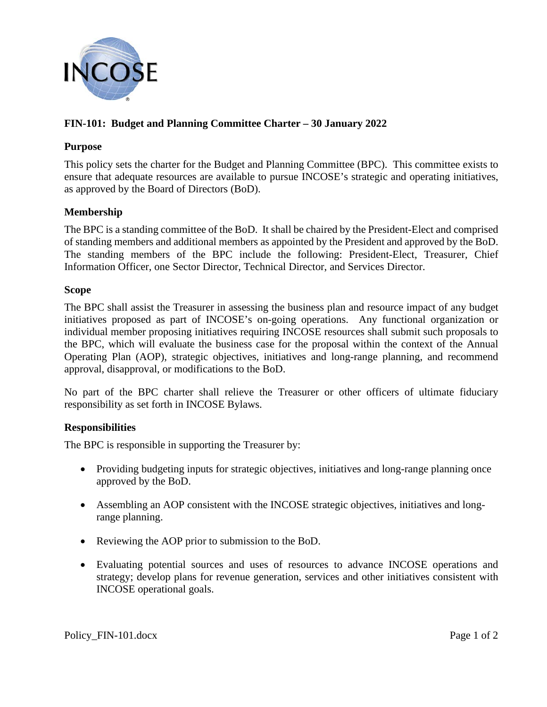

# **FIN-101: Budget and Planning Committee Charter – 30 January 2022**

## **Purpose**

This policy sets the charter for the Budget and Planning Committee (BPC). This committee exists to ensure that adequate resources are available to pursue INCOSE's strategic and operating initiatives, as approved by the Board of Directors (BoD).

## **Membership**

The BPC is a standing committee of the BoD. It shall be chaired by the President-Elect and comprised of standing members and additional members as appointed by the President and approved by the BoD. The standing members of the BPC include the following: President-Elect, Treasurer, Chief Information Officer, one Sector Director, Technical Director, and Services Director.

#### **Scope**

The BPC shall assist the Treasurer in assessing the business plan and resource impact of any budget initiatives proposed as part of INCOSE's on-going operations. Any functional organization or individual member proposing initiatives requiring INCOSE resources shall submit such proposals to the BPC, which will evaluate the business case for the proposal within the context of the Annual Operating Plan (AOP), strategic objectives, initiatives and long-range planning, and recommend approval, disapproval, or modifications to the BoD.

No part of the BPC charter shall relieve the Treasurer or other officers of ultimate fiduciary responsibility as set forth in INCOSE Bylaws.

## **Responsibilities**

The BPC is responsible in supporting the Treasurer by:

- Providing budgeting inputs for strategic objectives, initiatives and long-range planning once approved by the BoD.
- Assembling an AOP consistent with the INCOSE strategic objectives, initiatives and longrange planning.
- Reviewing the AOP prior to submission to the BoD.
- Evaluating potential sources and uses of resources to advance INCOSE operations and strategy; develop plans for revenue generation, services and other initiatives consistent with INCOSE operational goals.